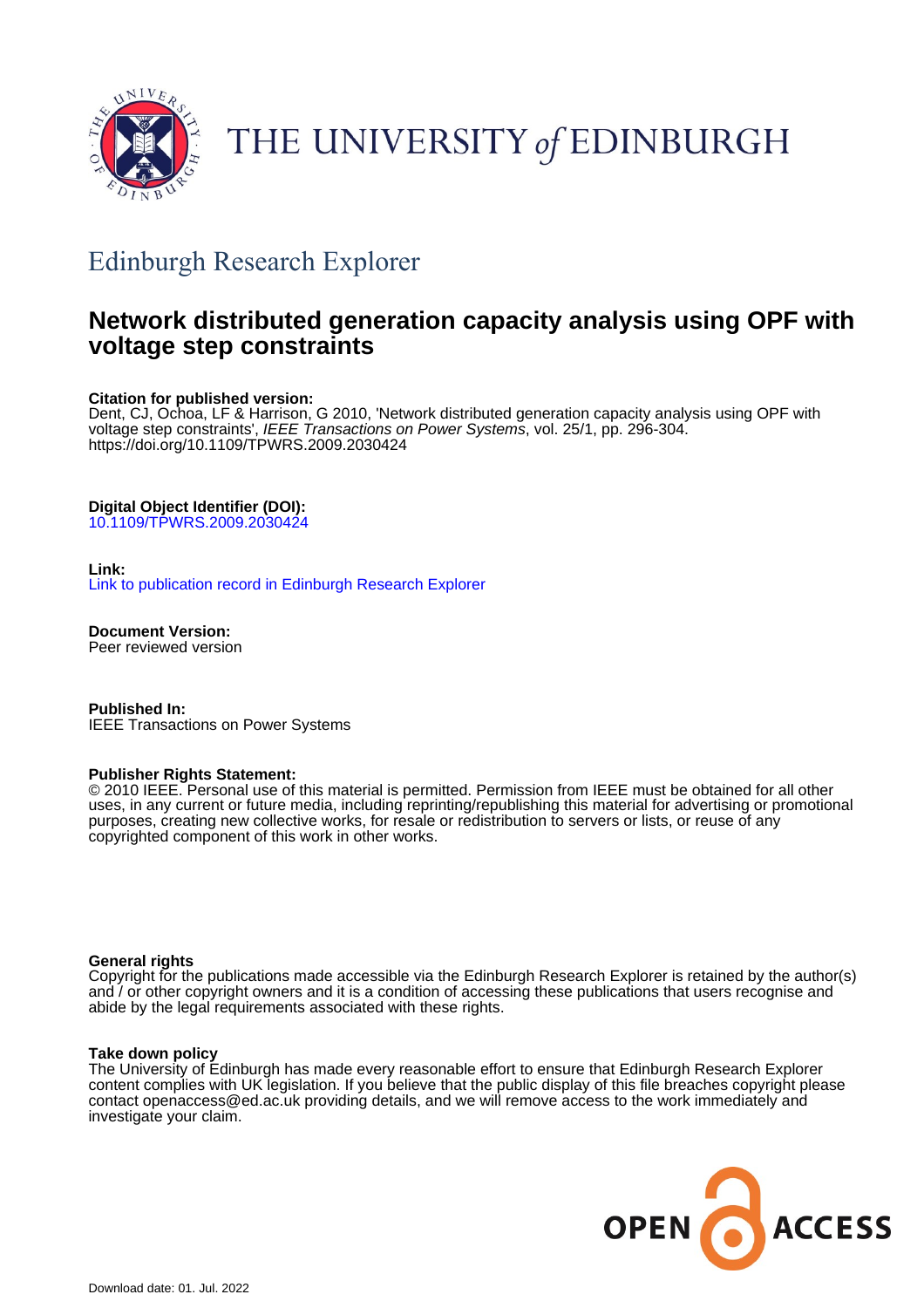

# THE UNIVERSITY of EDINBURGH

## Edinburgh Research Explorer

### **Network distributed generation capacity analysis using OPF with voltage step constraints**

#### **Citation for published version:**

Dent, CJ, Ochoa, LF & Harrison, G 2010, 'Network distributed generation capacity analysis using OPF with voltage step constraints', IEEE Transactions on Power Systems, vol. 25/1, pp. 296-304. <https://doi.org/10.1109/TPWRS.2009.2030424>

#### **Digital Object Identifier (DOI):**

[10.1109/TPWRS.2009.2030424](https://doi.org/10.1109/TPWRS.2009.2030424)

#### **Link:**

[Link to publication record in Edinburgh Research Explorer](https://www.research.ed.ac.uk/en/publications/f7e70b3b-b496-4c8f-86ff-1dd6ab5358b1)

**Document Version:** Peer reviewed version

**Published In:** IEEE Transactions on Power Systems

#### **Publisher Rights Statement:**

© 2010 IEEE. Personal use of this material is permitted. Permission from IEEE must be obtained for all other uses, in any current or future media, including reprinting/republishing this material for advertising or promotional purposes, creating new collective works, for resale or redistribution to servers or lists, or reuse of any copyrighted component of this work in other works.

#### **General rights**

Copyright for the publications made accessible via the Edinburgh Research Explorer is retained by the author(s) and / or other copyright owners and it is a condition of accessing these publications that users recognise and abide by the legal requirements associated with these rights.

#### **Take down policy**

The University of Edinburgh has made every reasonable effort to ensure that Edinburgh Research Explorer content complies with UK legislation. If you believe that the public display of this file breaches copyright please contact openaccess@ed.ac.uk providing details, and we will remove access to the work immediately and investigate your claim.

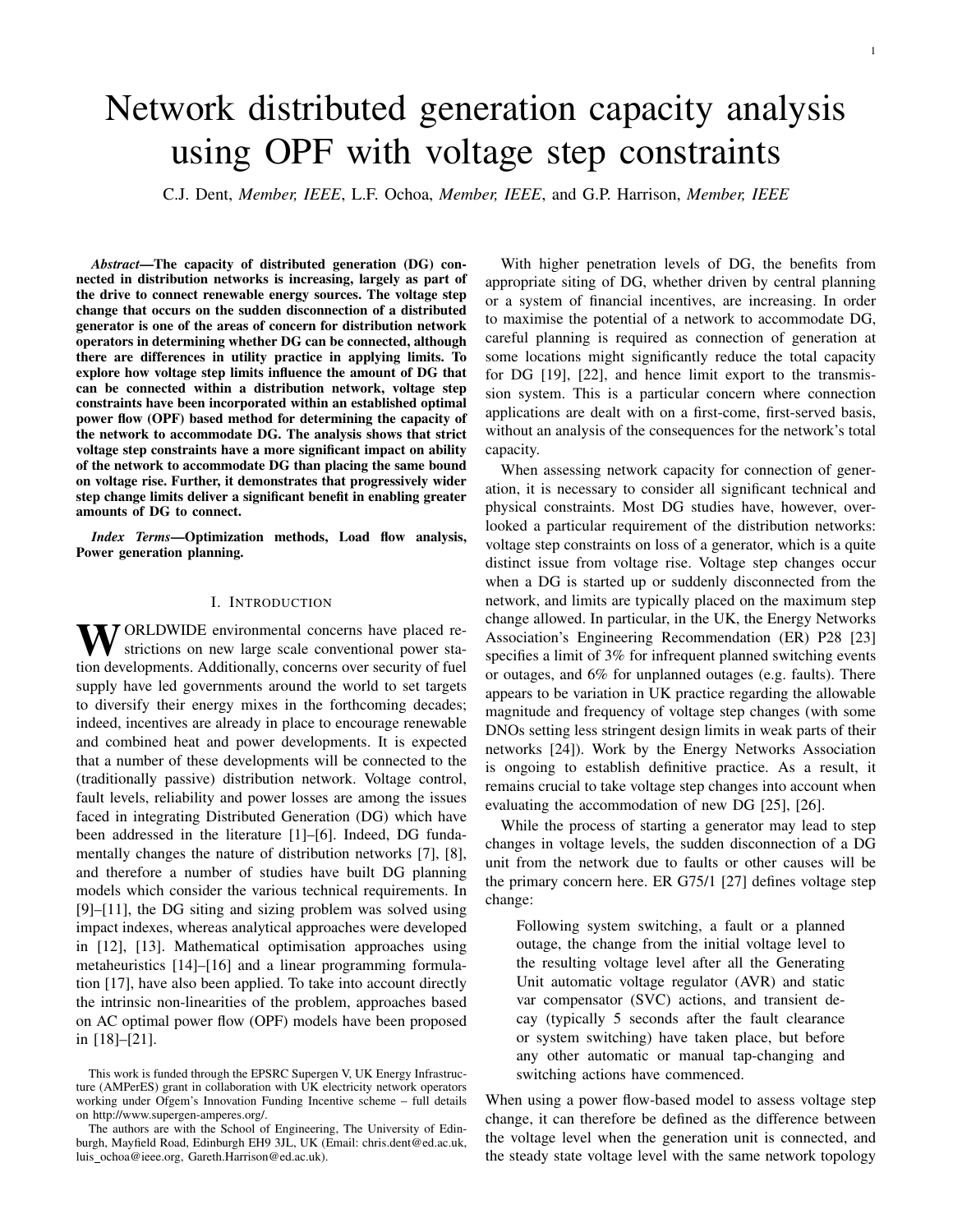# Network distributed generation capacity analysis using OPF with voltage step constraints

C.J. Dent, *Member, IEEE*, L.F. Ochoa, *Member, IEEE*, and G.P. Harrison, *Member, IEEE*

*Abstract*—The capacity of distributed generation (DG) connected in distribution networks is increasing, largely as part of the drive to connect renewable energy sources. The voltage step change that occurs on the sudden disconnection of a distributed generator is one of the areas of concern for distribution network operators in determining whether DG can be connected, although there are differences in utility practice in applying limits. To explore how voltage step limits influence the amount of DG that can be connected within a distribution network, voltage step constraints have been incorporated within an established optimal power flow (OPF) based method for determining the capacity of the network to accommodate DG. The analysis shows that strict voltage step constraints have a more significant impact on ability of the network to accommodate DG than placing the same bound on voltage rise. Further, it demonstrates that progressively wider step change limits deliver a significant benefit in enabling greater amounts of DG to connect.

*Index Terms*—Optimization methods, Load flow analysis, Power generation planning.

#### I. INTRODUCTION

WORLDWIDE environmental concerns have placed restrictions on new large scale conventional power station developments. Additionally, concerns over security of fuel supply have led governments around the world to set targets to diversify their energy mixes in the forthcoming decades; indeed, incentives are already in place to encourage renewable and combined heat and power developments. It is expected that a number of these developments will be connected to the (traditionally passive) distribution network. Voltage control, fault levels, reliability and power losses are among the issues faced in integrating Distributed Generation (DG) which have been addressed in the literature [1]–[6]. Indeed, DG fundamentally changes the nature of distribution networks [7], [8], and therefore a number of studies have built DG planning models which consider the various technical requirements. In [9]–[11], the DG siting and sizing problem was solved using impact indexes, whereas analytical approaches were developed in [12], [13]. Mathematical optimisation approaches using metaheuristics [14]–[16] and a linear programming formulation [17], have also been applied. To take into account directly the intrinsic non-linearities of the problem, approaches based on AC optimal power flow (OPF) models have been proposed in [18]–[21].

With higher penetration levels of DG, the benefits from appropriate siting of DG, whether driven by central planning or a system of financial incentives, are increasing. In order to maximise the potential of a network to accommodate DG, careful planning is required as connection of generation at some locations might significantly reduce the total capacity for DG [19], [22], and hence limit export to the transmission system. This is a particular concern where connection applications are dealt with on a first-come, first-served basis, without an analysis of the consequences for the network's total capacity.

When assessing network capacity for connection of generation, it is necessary to consider all significant technical and physical constraints. Most DG studies have, however, overlooked a particular requirement of the distribution networks: voltage step constraints on loss of a generator, which is a quite distinct issue from voltage rise. Voltage step changes occur when a DG is started up or suddenly disconnected from the network, and limits are typically placed on the maximum step change allowed. In particular, in the UK, the Energy Networks Association's Engineering Recommendation (ER) P28 [23] specifies a limit of 3% for infrequent planned switching events or outages, and 6% for unplanned outages (e.g. faults). There appears to be variation in UK practice regarding the allowable magnitude and frequency of voltage step changes (with some DNOs setting less stringent design limits in weak parts of their networks [24]). Work by the Energy Networks Association is ongoing to establish definitive practice. As a result, it remains crucial to take voltage step changes into account when evaluating the accommodation of new DG [25], [26].

While the process of starting a generator may lead to step changes in voltage levels, the sudden disconnection of a DG unit from the network due to faults or other causes will be the primary concern here. ER G75/1 [27] defines voltage step change:

Following system switching, a fault or a planned outage, the change from the initial voltage level to the resulting voltage level after all the Generating Unit automatic voltage regulator (AVR) and static var compensator (SVC) actions, and transient decay (typically 5 seconds after the fault clearance or system switching) have taken place, but before any other automatic or manual tap-changing and switching actions have commenced.

When using a power flow-based model to assess voltage step change, it can therefore be defined as the difference between the voltage level when the generation unit is connected, and the steady state voltage level with the same network topology

This work is funded through the EPSRC Supergen V, UK Energy Infrastructure (AMPerES) grant in collaboration with UK electricity network operators working under Ofgem's Innovation Funding Incentive scheme – full details on http://www.supergen-amperes.org/.

The authors are with the School of Engineering, The University of Edinburgh, Mayfield Road, Edinburgh EH9 3JL, UK (Email: chris.dent@ed.ac.uk, luis\_ochoa@ieee.org, Gareth.Harrison@ed.ac.uk).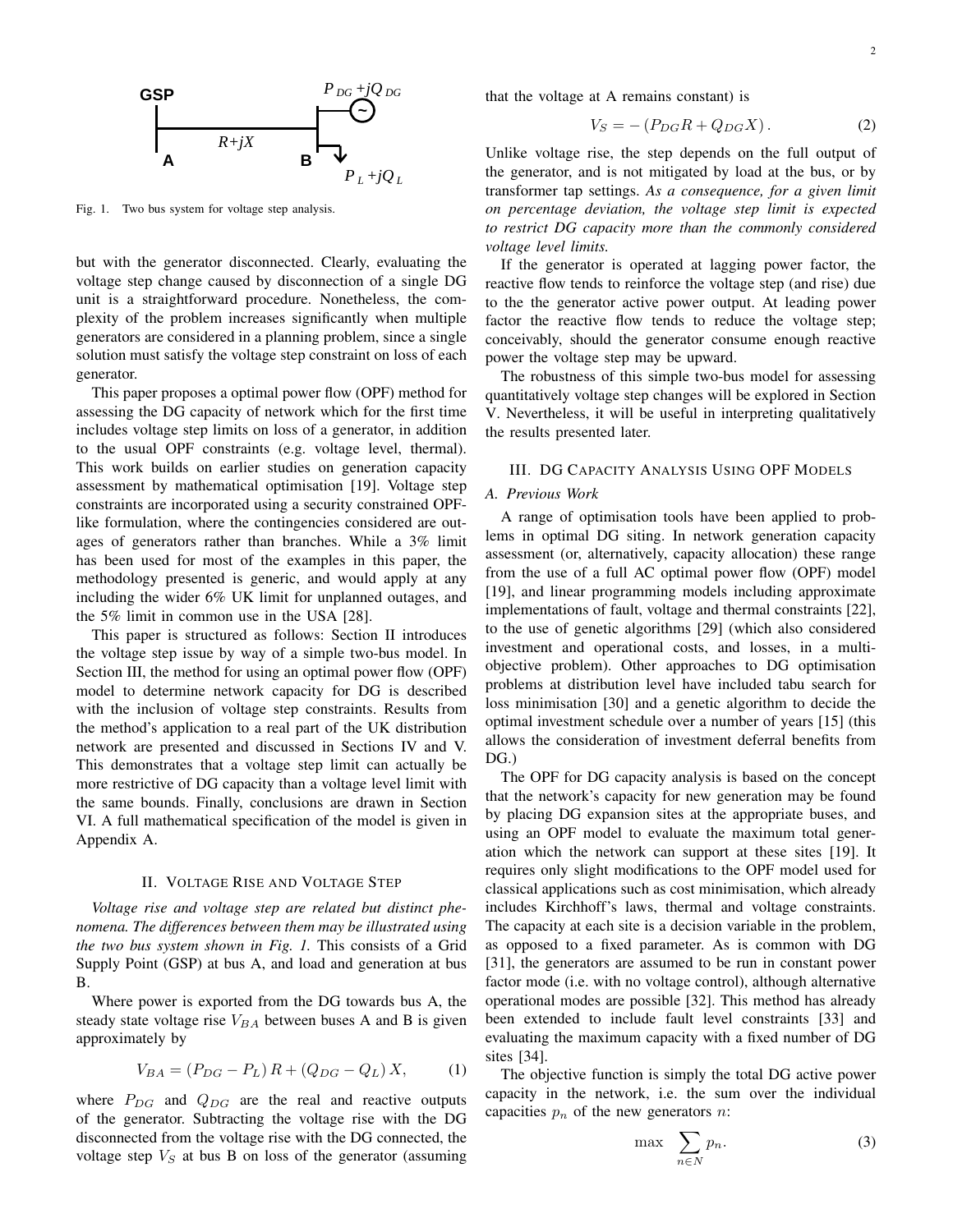

Fig. 1. Two bus system for voltage step analysis.

but with the generator disconnected. Clearly, evaluating the voltage step change caused by disconnection of a single DG unit is a straightforward procedure. Nonetheless, the complexity of the problem increases significantly when multiple generators are considered in a planning problem, since a single solution must satisfy the voltage step constraint on loss of each generator.

This paper proposes a optimal power flow (OPF) method for assessing the DG capacity of network which for the first time includes voltage step limits on loss of a generator, in addition to the usual OPF constraints (e.g. voltage level, thermal). This work builds on earlier studies on generation capacity assessment by mathematical optimisation [19]. Voltage step constraints are incorporated using a security constrained OPFlike formulation, where the contingencies considered are outages of generators rather than branches. While a 3% limit has been used for most of the examples in this paper, the methodology presented is generic, and would apply at any including the wider 6% UK limit for unplanned outages, and the 5% limit in common use in the USA [28].

This paper is structured as follows: Section II introduces the voltage step issue by way of a simple two-bus model. In Section III, the method for using an optimal power flow (OPF) model to determine network capacity for DG is described with the inclusion of voltage step constraints. Results from the method's application to a real part of the UK distribution network are presented and discussed in Sections IV and V. This demonstrates that a voltage step limit can actually be more restrictive of DG capacity than a voltage level limit with the same bounds. Finally, conclusions are drawn in Section VI. A full mathematical specification of the model is given in Appendix A.

#### II. VOLTAGE RISE AND VOLTAGE STEP

*Voltage rise and voltage step are related but distinct phenomena. The differences between them may be illustrated using the two bus system shown in Fig. 1.* This consists of a Grid Supply Point (GSP) at bus A, and load and generation at bus B.

Where power is exported from the DG towards bus A, the steady state voltage rise  $V_{BA}$  between buses A and B is given approximately by

$$
V_{BA} = (P_{DG} - P_L) R + (Q_{DG} - Q_L) X, \tag{1}
$$

where  $P_{DG}$  and  $Q_{DG}$  are the real and reactive outputs of the generator. Subtracting the voltage rise with the DG disconnected from the voltage rise with the DG connected, the voltage step  $V_S$  at bus B on loss of the generator (assuming that the voltage at A remains constant) is

$$
V_S = -\left(P_{DG}R + Q_{DG}X\right). \tag{2}
$$

Unlike voltage rise, the step depends on the full output of the generator, and is not mitigated by load at the bus, or by transformer tap settings. *As a consequence, for a given limit on percentage deviation, the voltage step limit is expected to restrict DG capacity more than the commonly considered voltage level limits.*

If the generator is operated at lagging power factor, the reactive flow tends to reinforce the voltage step (and rise) due to the the generator active power output. At leading power factor the reactive flow tends to reduce the voltage step; conceivably, should the generator consume enough reactive power the voltage step may be upward.

The robustness of this simple two-bus model for assessing quantitatively voltage step changes will be explored in Section V. Nevertheless, it will be useful in interpreting qualitatively the results presented later.

#### III. DG CAPACITY ANALYSIS USING OPF MODELS

#### *A. Previous Work*

A range of optimisation tools have been applied to problems in optimal DG siting. In network generation capacity assessment (or, alternatively, capacity allocation) these range from the use of a full AC optimal power flow (OPF) model [19], and linear programming models including approximate implementations of fault, voltage and thermal constraints [22], to the use of genetic algorithms [29] (which also considered investment and operational costs, and losses, in a multiobjective problem). Other approaches to DG optimisation problems at distribution level have included tabu search for loss minimisation [30] and a genetic algorithm to decide the optimal investment schedule over a number of years [15] (this allows the consideration of investment deferral benefits from DG.)

The OPF for DG capacity analysis is based on the concept that the network's capacity for new generation may be found by placing DG expansion sites at the appropriate buses, and using an OPF model to evaluate the maximum total generation which the network can support at these sites [19]. It requires only slight modifications to the OPF model used for classical applications such as cost minimisation, which already includes Kirchhoff's laws, thermal and voltage constraints. The capacity at each site is a decision variable in the problem, as opposed to a fixed parameter. As is common with DG [31], the generators are assumed to be run in constant power factor mode (i.e. with no voltage control), although alternative operational modes are possible [32]. This method has already been extended to include fault level constraints [33] and evaluating the maximum capacity with a fixed number of DG sites [34].

The objective function is simply the total DG active power capacity in the network, i.e. the sum over the individual capacities  $p_n$  of the new generators n:

$$
\max \sum_{n \in N} p_n. \tag{3}
$$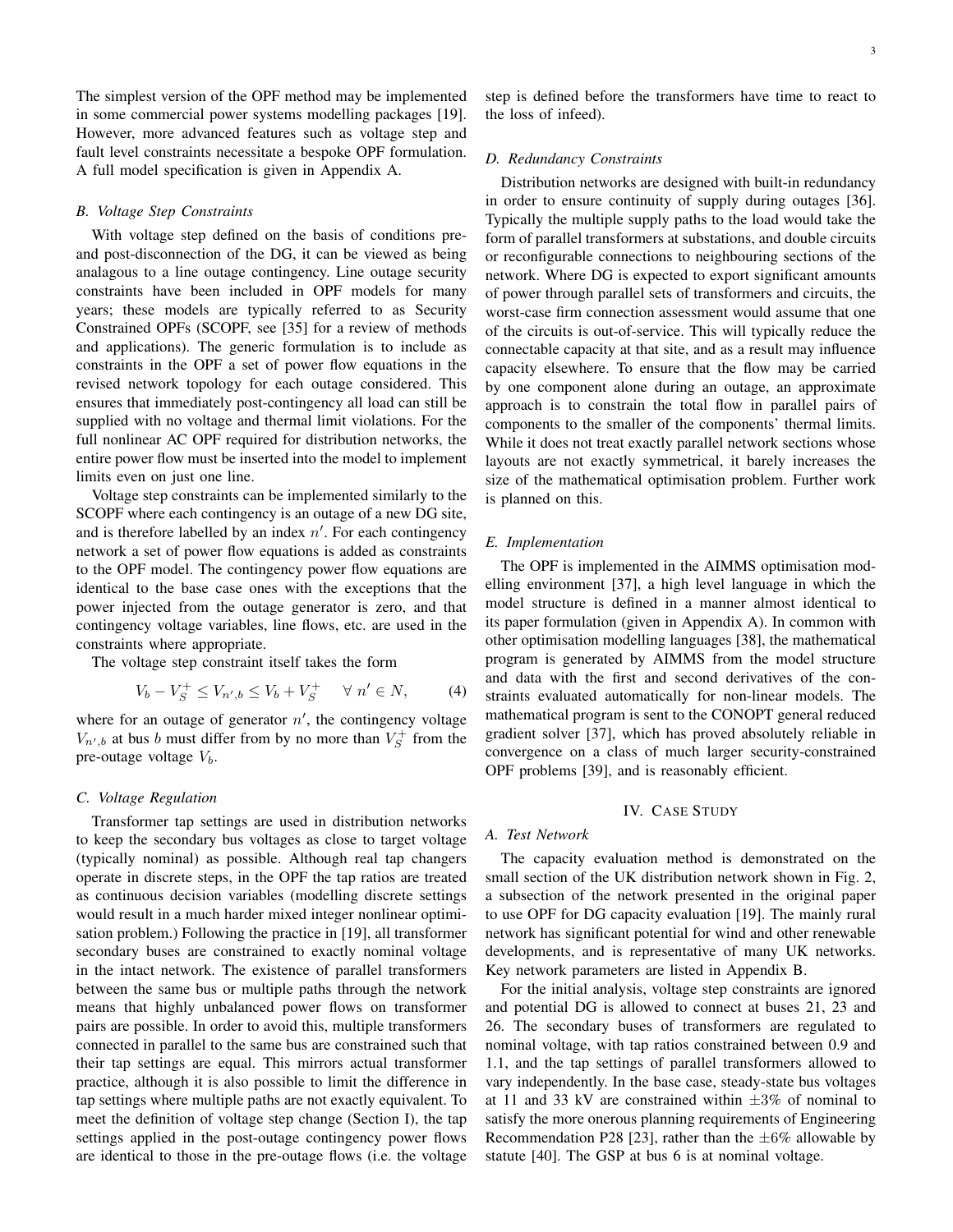The simplest version of the OPF method may be implemented in some commercial power systems modelling packages [19]. However, more advanced features such as voltage step and fault level constraints necessitate a bespoke OPF formulation. A full model specification is given in Appendix A.

#### *B. Voltage Step Constraints*

With voltage step defined on the basis of conditions preand post-disconnection of the DG, it can be viewed as being analagous to a line outage contingency. Line outage security constraints have been included in OPF models for many years; these models are typically referred to as Security Constrained OPFs (SCOPF, see [35] for a review of methods and applications). The generic formulation is to include as constraints in the OPF a set of power flow equations in the revised network topology for each outage considered. This ensures that immediately post-contingency all load can still be supplied with no voltage and thermal limit violations. For the full nonlinear AC OPF required for distribution networks, the entire power flow must be inserted into the model to implement limits even on just one line.

Voltage step constraints can be implemented similarly to the SCOPF where each contingency is an outage of a new DG site, and is therefore labelled by an index  $n'$ . For each contingency network a set of power flow equations is added as constraints to the OPF model. The contingency power flow equations are identical to the base case ones with the exceptions that the power injected from the outage generator is zero, and that contingency voltage variables, line flows, etc. are used in the constraints where appropriate.

The voltage step constraint itself takes the form

$$
V_b - V_S^+ \le V_{n',b} \le V_b + V_S^+ \quad \forall \ n' \in N,
$$
 (4)

where for an outage of generator  $n'$ , the contingency voltage  $V_{n',b}$  at bus b must differ from by no more than  $V_S^+$  from the pre-outage voltage  $V_b$ .

#### *C. Voltage Regulation*

Transformer tap settings are used in distribution networks to keep the secondary bus voltages as close to target voltage (typically nominal) as possible. Although real tap changers operate in discrete steps, in the OPF the tap ratios are treated as continuous decision variables (modelling discrete settings would result in a much harder mixed integer nonlinear optimisation problem.) Following the practice in [19], all transformer secondary buses are constrained to exactly nominal voltage in the intact network. The existence of parallel transformers between the same bus or multiple paths through the network means that highly unbalanced power flows on transformer pairs are possible. In order to avoid this, multiple transformers connected in parallel to the same bus are constrained such that their tap settings are equal. This mirrors actual transformer practice, although it is also possible to limit the difference in tap settings where multiple paths are not exactly equivalent. To meet the definition of voltage step change (Section I), the tap settings applied in the post-outage contingency power flows are identical to those in the pre-outage flows (i.e. the voltage step is defined before the transformers have time to react to the loss of infeed).

#### *D. Redundancy Constraints*

Distribution networks are designed with built-in redundancy in order to ensure continuity of supply during outages [36]. Typically the multiple supply paths to the load would take the form of parallel transformers at substations, and double circuits or reconfigurable connections to neighbouring sections of the network. Where DG is expected to export significant amounts of power through parallel sets of transformers and circuits, the worst-case firm connection assessment would assume that one of the circuits is out-of-service. This will typically reduce the connectable capacity at that site, and as a result may influence capacity elsewhere. To ensure that the flow may be carried by one component alone during an outage, an approximate approach is to constrain the total flow in parallel pairs of components to the smaller of the components' thermal limits. While it does not treat exactly parallel network sections whose layouts are not exactly symmetrical, it barely increases the size of the mathematical optimisation problem. Further work is planned on this.

#### *E. Implementation*

The OPF is implemented in the AIMMS optimisation modelling environment [37], a high level language in which the model structure is defined in a manner almost identical to its paper formulation (given in Appendix A). In common with other optimisation modelling languages [38], the mathematical program is generated by AIMMS from the model structure and data with the first and second derivatives of the constraints evaluated automatically for non-linear models. The mathematical program is sent to the CONOPT general reduced gradient solver [37], which has proved absolutely reliable in convergence on a class of much larger security-constrained OPF problems [39], and is reasonably efficient.

#### IV. CASE STUDY

#### *A. Test Network*

The capacity evaluation method is demonstrated on the small section of the UK distribution network shown in Fig. 2, a subsection of the network presented in the original paper to use OPF for DG capacity evaluation [19]. The mainly rural network has significant potential for wind and other renewable developments, and is representative of many UK networks. Key network parameters are listed in Appendix B.

For the initial analysis, voltage step constraints are ignored and potential DG is allowed to connect at buses 21, 23 and 26. The secondary buses of transformers are regulated to nominal voltage, with tap ratios constrained between 0.9 and 1.1, and the tap settings of parallel transformers allowed to vary independently. In the base case, steady-state bus voltages at 11 and 33 kV are constrained within  $\pm 3\%$  of nominal to satisfy the more onerous planning requirements of Engineering Recommendation P28 [23], rather than the  $\pm 6\%$  allowable by statute [40]. The GSP at bus 6 is at nominal voltage.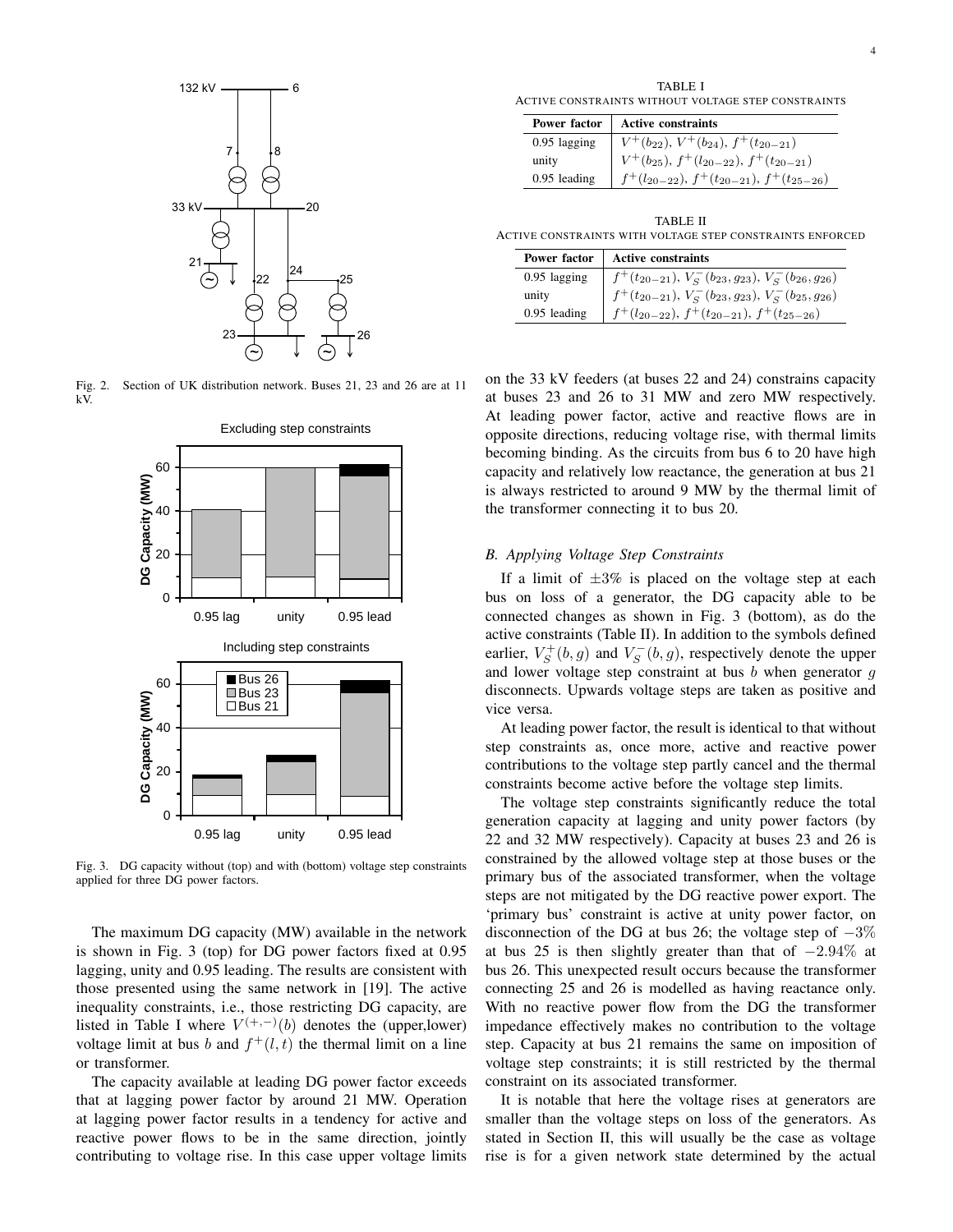

Fig. 2. Section of UK distribution network. Buses 21, 23 and 26 are at 11 kV.



Fig. 3. DG capacity without (top) and with (bottom) voltage step constraints applied for three DG power factors.

The maximum DG capacity (MW) available in the network is shown in Fig. 3 (top) for DG power factors fixed at 0.95 lagging, unity and 0.95 leading. The results are consistent with those presented using the same network in [19]. The active inequality constraints, i.e., those restricting DG capacity, are listed in Table I where  $V^{(+,-)}(b)$  denotes the (upper, lower) voltage limit at bus b and  $f^+(l, t)$  the thermal limit on a line or transformer.

The capacity available at leading DG power factor exceeds that at lagging power factor by around 21 MW. Operation at lagging power factor results in a tendency for active and reactive power flows to be in the same direction, jointly contributing to voltage rise. In this case upper voltage limits

TABLE I ACTIVE CONSTRAINTS WITHOUT VOLTAGE STEP CONSTRAINTS

| Power factor   | <b>Active constraints</b>                                                                                                      |
|----------------|--------------------------------------------------------------------------------------------------------------------------------|
| $0.95$ lagging |                                                                                                                                |
| unity          | $\begin{array}{l} V^+(b_{22}),\, V^+(b_{24}),\, f^+(t_{20-21}) \\ V^+(b_{25}),\, f^+(t_{20-22}),\, f^+(t_{20-21}) \end{array}$ |
| $0.95$ leading | $f^+(l_{20-22}), f^+(t_{20-21}), f^+(t_{25-26})$                                                                               |

TABLE II ACTIVE CONSTRAINTS WITH VOLTAGE STEP CONSTRAINTS ENFORCED

| Power factor   | <b>Active constraints</b>                                      |  |
|----------------|----------------------------------------------------------------|--|
| $0.95$ lagging | $f^+(t_{20-21}), V^-_S(b_{23}, g_{23}), V^-_S(b_{26}, g_{26})$ |  |
| unity          | $f^+(t_{20-21}), V^-_S(b_{23}, g_{23}), V^-_S(b_{25}, g_{26})$ |  |
| $0.95$ leading | $f^+(l_{20-22}), f^+(t_{20-21}), f^+(t_{25-26})$               |  |

on the 33 kV feeders (at buses 22 and 24) constrains capacity at buses 23 and 26 to 31 MW and zero MW respectively. At leading power factor, active and reactive flows are in opposite directions, reducing voltage rise, with thermal limits becoming binding. As the circuits from bus 6 to 20 have high capacity and relatively low reactance, the generation at bus 21 is always restricted to around 9 MW by the thermal limit of the transformer connecting it to bus 20.

#### *B. Applying Voltage Step Constraints*

If a limit of  $\pm 3\%$  is placed on the voltage step at each bus on loss of a generator, the DG capacity able to be connected changes as shown in Fig. 3 (bottom), as do the active constraints (Table II). In addition to the symbols defined earlier,  $V_S^+(b, g)$  and  $V_S^-(b, g)$ , respectively denote the upper and lower voltage step constraint at bus  $b$  when generator  $g$ disconnects. Upwards voltage steps are taken as positive and vice versa.

At leading power factor, the result is identical to that without step constraints as, once more, active and reactive power contributions to the voltage step partly cancel and the thermal constraints become active before the voltage step limits.

The voltage step constraints significantly reduce the total generation capacity at lagging and unity power factors (by 22 and 32 MW respectively). Capacity at buses 23 and 26 is constrained by the allowed voltage step at those buses or the primary bus of the associated transformer, when the voltage steps are not mitigated by the DG reactive power export. The 'primary bus' constraint is active at unity power factor, on disconnection of the DG at bus 26; the voltage step of  $-3\%$ at bus 25 is then slightly greater than that of  $-2.94\%$  at bus 26. This unexpected result occurs because the transformer connecting 25 and 26 is modelled as having reactance only. With no reactive power flow from the DG the transformer impedance effectively makes no contribution to the voltage step. Capacity at bus 21 remains the same on imposition of voltage step constraints; it is still restricted by the thermal constraint on its associated transformer.

It is notable that here the voltage rises at generators are smaller than the voltage steps on loss of the generators. As stated in Section II, this will usually be the case as voltage rise is for a given network state determined by the actual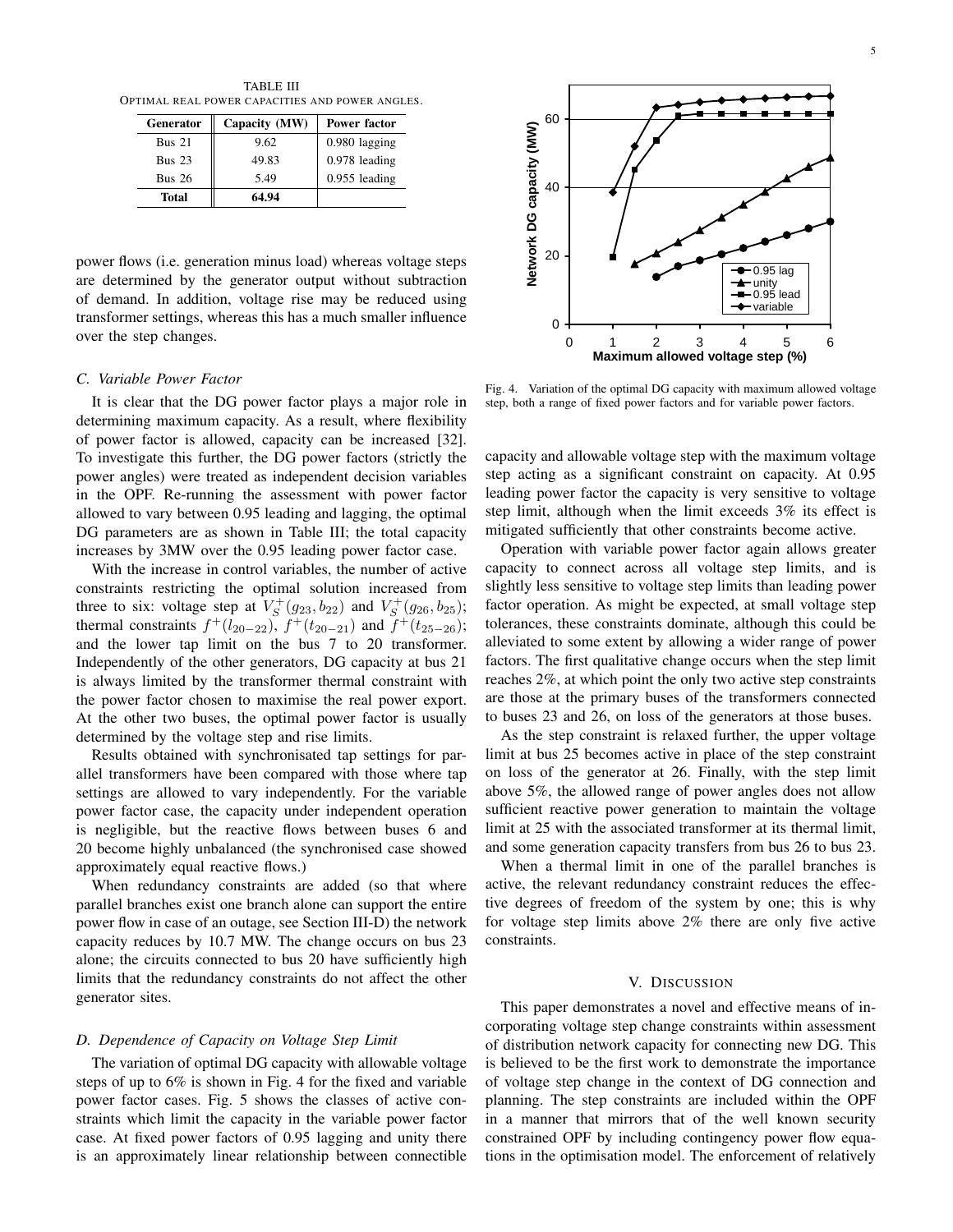TABLE III OPTIMAL REAL POWER CAPACITIES AND POWER ANGLES.

| <b>Generator</b>  | Capacity (MW) | <b>Power factor</b> |
|-------------------|---------------|---------------------|
| Bus 21            | 9.62          | $0.980$ lagging     |
| Bus <sub>23</sub> | 49.83         | $0.978$ leading     |
| <b>Bus 26</b>     | 5.49          | $0.955$ leading     |
| Total             | 64.94         |                     |

power flows (i.e. generation minus load) whereas voltage steps are determined by the generator output without subtraction of demand. In addition, voltage rise may be reduced using transformer settings, whereas this has a much smaller influence over the step changes.

#### *C. Variable Power Factor*

It is clear that the DG power factor plays a major role in determining maximum capacity. As a result, where flexibility of power factor is allowed, capacity can be increased [32]. To investigate this further, the DG power factors (strictly the power angles) were treated as independent decision variables in the OPF. Re-running the assessment with power factor allowed to vary between 0.95 leading and lagging, the optimal DG parameters are as shown in Table III; the total capacity increases by 3MW over the 0.95 leading power factor case.

With the increase in control variables, the number of active constraints restricting the optimal solution increased from three to six: voltage step at  $V_S^+(g_{23}, b_{22})$  and  $V_S^+(g_{26}, b_{25})$ ; thermal constraints  $f^+(l_{20-22})$ ,  $f^+(t_{20-21})$  and  $f^+(t_{25-26})$ ; and the lower tap limit on the bus 7 to 20 transformer. Independently of the other generators, DG capacity at bus 21 is always limited by the transformer thermal constraint with the power factor chosen to maximise the real power export. At the other two buses, the optimal power factor is usually determined by the voltage step and rise limits. is anotonic setuality whereas uns an anotonium simulation in the scheme of the site rather than the Diver function of the site rather and the Diver function of the site rather of the site rather of the site rather of the

Results obtained with synchronisated tap settings for parallel transformers have been compared with those where tap settings are allowed to vary independently. For the variable power factor case, the capacity under independent operation is negligible, but the reactive flows between buses 6 and 20 become highly unbalanced (the synchronised case showed approximately equal reactive flows.)

When redundancy constraints are added (so that where parallel branches exist one branch alone can support the entire power flow in case of an outage, see Section III-D) the network capacity reduces by 10.7 MW. The change occurs on bus 23 alone; the circuits connected to bus 20 have sufficiently high limits that the redundancy constraints do not affect the other generator sites.

#### *D. Dependence of Capacity on Voltage Step Limit*

The variation of optimal DG capacity with allowable voltage steps of up to 6% is shown in Fig. 4 for the fixed and variable power factor cases. Fig. 5 shows the classes of active constraints which limit the capacity in the variable power factor case. At fixed power factors of 0.95 lagging and unity there



Fig. 4. Variation of the optimal DG capacity with maximum allowed voltage step, both a range of fixed power factors and for variable power factors.

capacity and allowable voltage step with the maximum voltage step acting as a significant constraint on capacity. At 0.95 leading power factor the capacity is very sensitive to voltage step limit, although when the limit exceeds 3% its effect is mitigated sufficiently that other constraints become active.

Operation with variable power factor again allows greater capacity to connect across all voltage step limits, and is slightly less sensitive to voltage step limits than leading power factor operation. As might be expected, at small voltage step tolerances, these constraints dominate, although this could be alleviated to some extent by allowing a wider range of power factors. The first qualitative change occurs when the step limit reaches 2%, at which point the only two active step constraints are those at the primary buses of the transformers connected to buses 23 and 26, on loss of the generators at those buses.

As the step constraint is relaxed further, the upper voltage limit at bus 25 becomes active in place of the step constraint on loss of the generator at 26. Finally, with the step limit above 5%, the allowed range of power angles does not allow sufficient reactive power generation to maintain the voltage limit at 25 with the associated transformer at its thermal limit, and some generation capacity transfers from bus 26 to bus 23.

When a thermal limit in one of the parallel branches is active, the relevant redundancy constraint reduces the effective degrees of freedom of the system by one; this is why for voltage step limits above 2% there are only five active constraints.

#### V. DISCUSSION

This paper demonstrates a novel and effective means of incorporating voltage step change constraints within assessment of distribution network capacity for connecting new DG. This is believed to be the first work to demonstrate the importance of voltage step change in the context of DG connection and planning. The step constraints are included within the OPF in a manner that mirrors that of the well known security constrained OPF by including contingency power flow equations in the optimisation model. The enforcement of relatively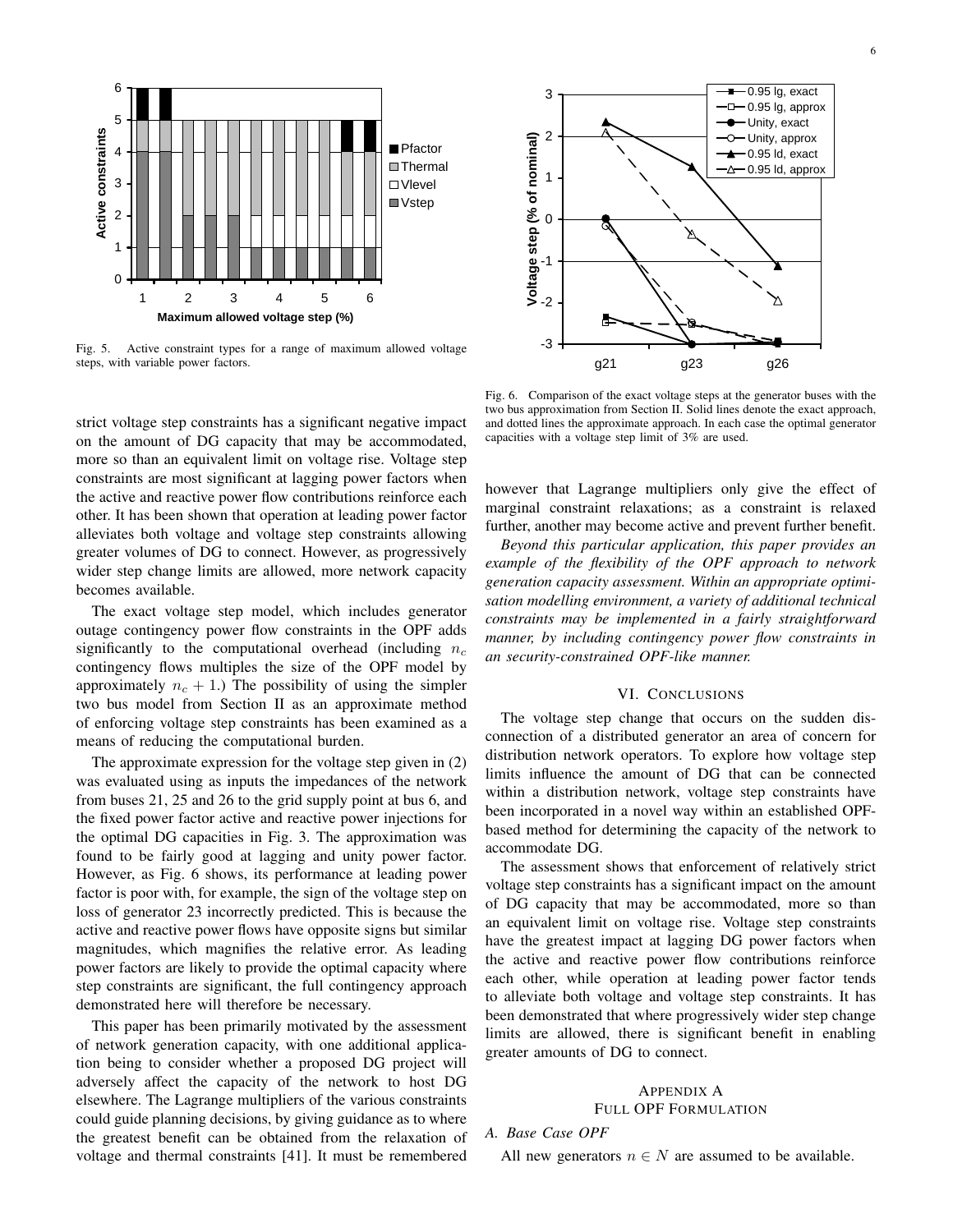

Fig. 5. Active constraint types for a range of maximum allowed voltage steps, with variable power factors.

strict voltage step constraints has a significant negative impact on the amount of DG capacity that may be accommodated, more so than an equivalent limit on voltage rise. Voltage step constraints are most significant at lagging power factors when the active and reactive power flow contributions reinforce each other. It has been shown that operation at leading power factor alleviates both voltage and voltage step constraints allowing greater volumes of DG to connect. However, as progressively wider step change limits are allowed, more network capacity becomes available.

The exact voltage step model, which includes generator outage contingency power flow constraints in the OPF adds significantly to the computational overhead (including  $n_c$ contingency flows multiples the size of the OPF model by approximately  $n_c + 1$ .) The possibility of using the simpler two bus model from Section II as an approximate method of enforcing voltage step constraints has been examined as a means of reducing the computational burden.

The approximate expression for the voltage step given in (2) was evaluated using as inputs the impedances of the network from buses 21, 25 and 26 to the grid supply point at bus 6, and the fixed power factor active and reactive power injections for the optimal DG capacities in Fig. 3. The approximation was found to be fairly good at lagging and unity power factor. However, as Fig. 6 shows, its performance at leading power factor is poor with, for example, the sign of the voltage step on loss of generator 23 incorrectly predicted. This is because the active and reactive power flows have opposite signs but similar magnitudes, which magnifies the relative error. As leading power factors are likely to provide the optimal capacity where step constraints are significant, the full contingency approach demonstrated here will therefore be necessary.

This paper has been primarily motivated by the assessment of network generation capacity, with one additional application being to consider whether a proposed DG project will adversely affect the capacity of the network to host DG elsewhere. The Lagrange multipliers of the various constraints could guide planning decisions, by giving guidance as to where the greatest benefit can be obtained from the relaxation of voltage and thermal constraints [41]. It must be remembered



Fig. 6. Comparison of the exact voltage steps at the generator buses with the two bus approximation from Section II. Solid lines denote the exact approach, and dotted lines the approximate approach. In each case the optimal generator capacities with a voltage step limit of 3% are used.

however that Lagrange multipliers only give the effect of marginal constraint relaxations; as a constraint is relaxed further, another may become active and prevent further benefit.

*Beyond this particular application, this paper provides an example of the flexibility of the OPF approach to network generation capacity assessment. Within an appropriate optimisation modelling environment, a variety of additional technical constraints may be implemented in a fairly straightforward manner, by including contingency power flow constraints in an security-constrained OPF-like manner.*

#### VI. CONCLUSIONS

The voltage step change that occurs on the sudden disconnection of a distributed generator an area of concern for distribution network operators. To explore how voltage step limits influence the amount of DG that can be connected within a distribution network, voltage step constraints have been incorporated in a novel way within an established OPFbased method for determining the capacity of the network to accommodate DG.

The assessment shows that enforcement of relatively strict voltage step constraints has a significant impact on the amount of DG capacity that may be accommodated, more so than an equivalent limit on voltage rise. Voltage step constraints have the greatest impact at lagging DG power factors when the active and reactive power flow contributions reinforce each other, while operation at leading power factor tends to alleviate both voltage and voltage step constraints. It has been demonstrated that where progressively wider step change limits are allowed, there is significant benefit in enabling greater amounts of DG to connect.

#### APPENDIX A FULL OPF FORMULATION

#### *A. Base Case OPF*

All new generators  $n \in N$  are assumed to be available.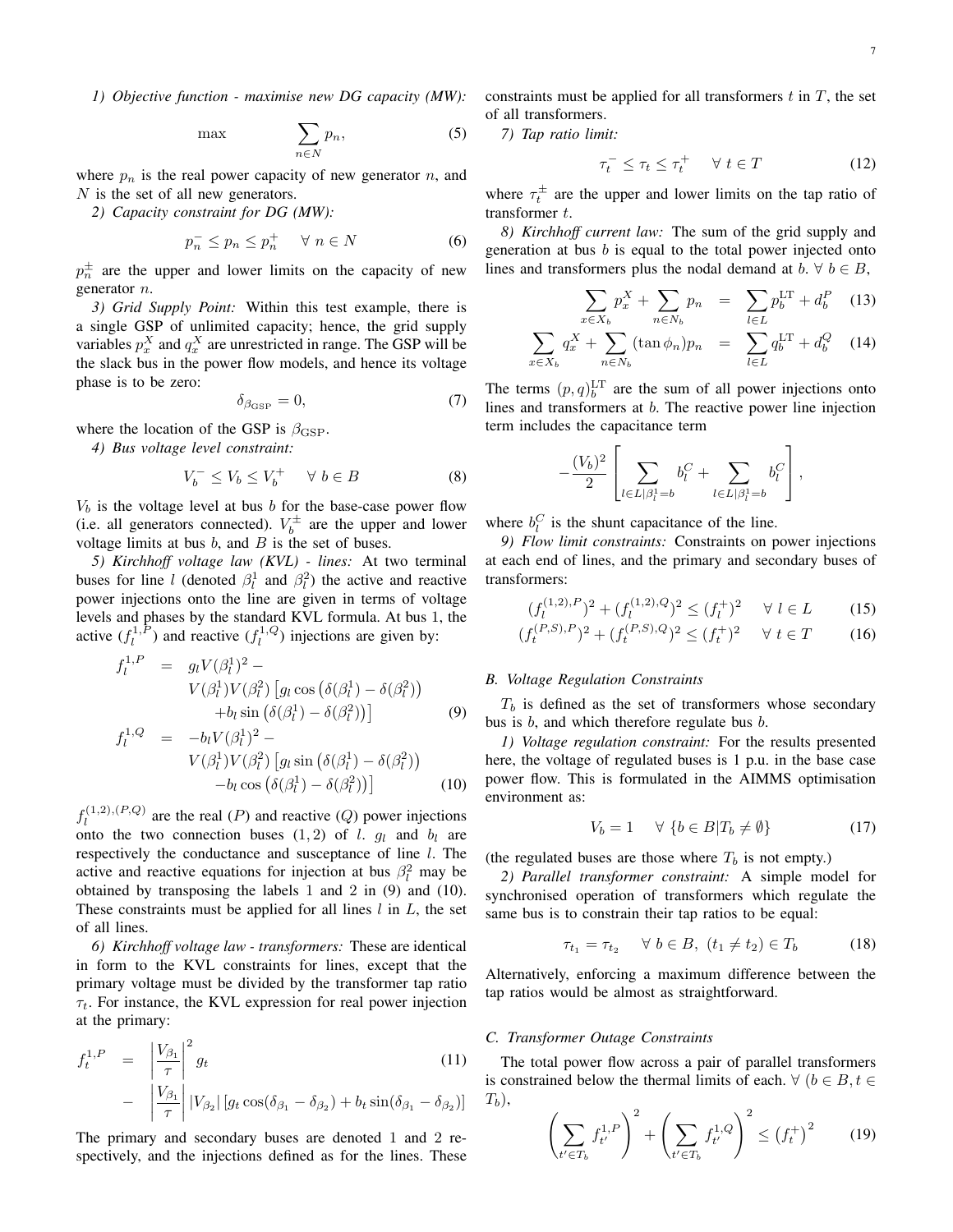*1) Objective function - maximise new DG capacity (MW):*

$$
\max \qquad \sum_{n \in N} p_n, \tag{5}
$$

where  $p_n$  is the real power capacity of new generator  $n$ , and N is the set of all new generators.

*2) Capacity constraint for DG (MW):*

$$
p_n^- \le p_n \le p_n^+ \quad \forall \ n \in N \tag{6}
$$

 $p_n^{\pm}$  are the upper and lower limits on the capacity of new generator n.

*3) Grid Supply Point:* Within this test example, there is a single GSP of unlimited capacity; hence, the grid supply variables  $p_x^X$  and  $q_x^X$  are unrestricted in range. The GSP will be the slack bus in the power flow models, and hence its voltage phase is to be zero:

$$
\delta_{\beta_{\rm GSP}} = 0,\tag{7}
$$

where the location of the GSP is  $\beta_{\text{GSP}}$ .

*4) Bus voltage level constraint:*

$$
V_b^- \le V_b \le V_b^+ \qquad \forall \ b \in B \tag{8}
$$

 $V<sub>b</sub>$  is the voltage level at bus  $b$  for the base-case power flow (i.e. all generators connected).  $V_b^{\pm}$  are the upper and lower voltage limits at bus  $b$ , and  $B$  is the set of buses.

*5) Kirchhoff voltage law (KVL) - lines:* At two terminal buses for line l (denoted  $\beta_l^1$  and  $\beta_l^2$ ) the active and reactive power injections onto the line are given in terms of voltage levels and phases by the standard KVL formula. At bus 1, the active  $(f_l^{1,P})$  and reactive  $(f_l^{1,Q})$  injections are given by:

$$
f_l^{1,P} = g_l V (\beta_l^1)^2 - V(\beta_l^1) V (\beta_l^2) [g_l \cos (\delta(\beta_l^1) - \delta(\beta_l^2)) + b_l \sin (\delta(\beta_l^1) - \delta(\beta_l^2))]
$$
(9)

$$
f_l^{1,Q} = -b_l V(\beta_l^1)^2 - V(\beta_l^1) V(\beta_l^2) \left[ g_l \sin \left( \delta(\beta_l^1) - \delta(\beta_l^2) \right) - b_l \cos \left( \delta(\beta_l^1) - \delta(\beta_l^2) \right) \right]
$$
(10)

 $f_I^{(1,2),(P,Q)}$  $\ell_{l}^{(1,2),(P,Q)}$  are the real  $(P)$  and reactive  $(Q)$  power injections onto the two connection buses  $(1, 2)$  of l.  $q_l$  and  $b_l$  are respectively the conductance and susceptance of line  $l$ . The active and reactive equations for injection at bus  $\beta_l^2$  may be obtained by transposing the labels 1 and 2 in (9) and (10). These constraints must be applied for all lines  $l$  in  $L$ , the set of all lines.

*6) Kirchhoff voltage law - transformers:* These are identical in form to the KVL constraints for lines, except that the primary voltage must be divided by the transformer tap ratio  $\tau_t$ . For instance, the KVL expression for real power injection at the primary:

$$
f_t^{1,P} = \left| \frac{V_{\beta_1}}{\tau} \right|^2 g_t
$$
\n
$$
- \left| \frac{V_{\beta_1}}{\tau} \right| |V_{\beta_2}| [g_t \cos(\delta_{\beta_1} - \delta_{\beta_2}) + b_t \sin(\delta_{\beta_1} - \delta_{\beta_2})]
$$
\n(11)

The primary and secondary buses are denoted 1 and 2 respectively, and the injections defined as for the lines. These constraints must be applied for all transformers  $t$  in  $T$ , the set of all transformers.

*7) Tap ratio limit:*

$$
\tau_t^- \le \tau_t \le \tau_t^+ \quad \forall \ t \in T \tag{12}
$$

where  $\tau_t^{\pm}$  are the upper and lower limits on the tap ratio of transformer t.

*8) Kirchhoff current law:* The sum of the grid supply and generation at bus  $b$  is equal to the total power injected onto lines and transformers plus the nodal demand at  $b. \forall b \in B$ ,

$$
\sum_{x \in X_b} p_x^X + \sum_{n \in N_b} p_n = \sum_{l \in L} p_b^{\text{LT}} + d_b^P \quad (13)
$$

$$
\sum_{x \in X_b} q_x^X + \sum_{n \in N_b} (\tan \phi_n) p_n = \sum_{l \in L} q_b^{\text{LT}} + d_b^Q \quad (14)
$$

The terms  $(p, q)_b^{\text{LT}}$  are the sum of all power injections onto lines and transformers at b. The reactive power line injection term includes the capacitance term Ĩ.  $\overline{a}$ 

$$
-\frac{(V_b)^2}{2}\left[\sum_{l\in L|\beta_l^1=b}b_l^C+\sum_{l\in L|\beta_l^1=b}b_l^C\right],
$$

where  $b_l^C$  is the shunt capacitance of the line.

*9) Flow limit constraints:* Constraints on power injections at each end of lines, and the primary and secondary buses of transformers:

$$
(f_l^{(1,2),P})^2 + (f_l^{(1,2),Q})^2 \le (f_l^+)^2 \quad \forall l \in L \tag{15}
$$

$$
(f_t^{(P,S),P})^2 + (f_t^{(P,S),Q})^2 \le (f_t^+)^2 \quad \forall \ t \in T \tag{16}
$$

#### *B. Voltage Regulation Constraints*

 $T_b$  is defined as the set of transformers whose secondary bus is  $b$ , and which therefore regulate bus  $b$ .

*1) Voltage regulation constraint:* For the results presented here, the voltage of regulated buses is 1 p.u. in the base case power flow. This is formulated in the AIMMS optimisation environment as:

$$
V_b = 1 \quad \forall \{b \in B | T_b \neq \emptyset\} \tag{17}
$$

(the regulated buses are those where  $T<sub>b</sub>$  is not empty.)

*2) Parallel transformer constraint:* A simple model for synchronised operation of transformers which regulate the same bus is to constrain their tap ratios to be equal:

$$
\tau_{t_1} = \tau_{t_2} \quad \forall \ b \in B, \ (t_1 \neq t_2) \in T_b \tag{18}
$$

Alternatively, enforcing a maximum difference between the tap ratios would be almost as straightforward.

#### *C. Transformer Outage Constraints*

The total power flow across a pair of parallel transformers is constrained below the thermal limits of each.  $\forall (b \in B, t \in$  $T_b$ ),  $\left(\nabla \right)$ 

$$
\left(\sum_{t' \in T_b} f_{t'}^{1,P}\right)^2 + \left(\sum_{t' \in T_b} f_{t'}^{1,Q}\right)^2 \le (f_t^+)^2 \qquad (19)
$$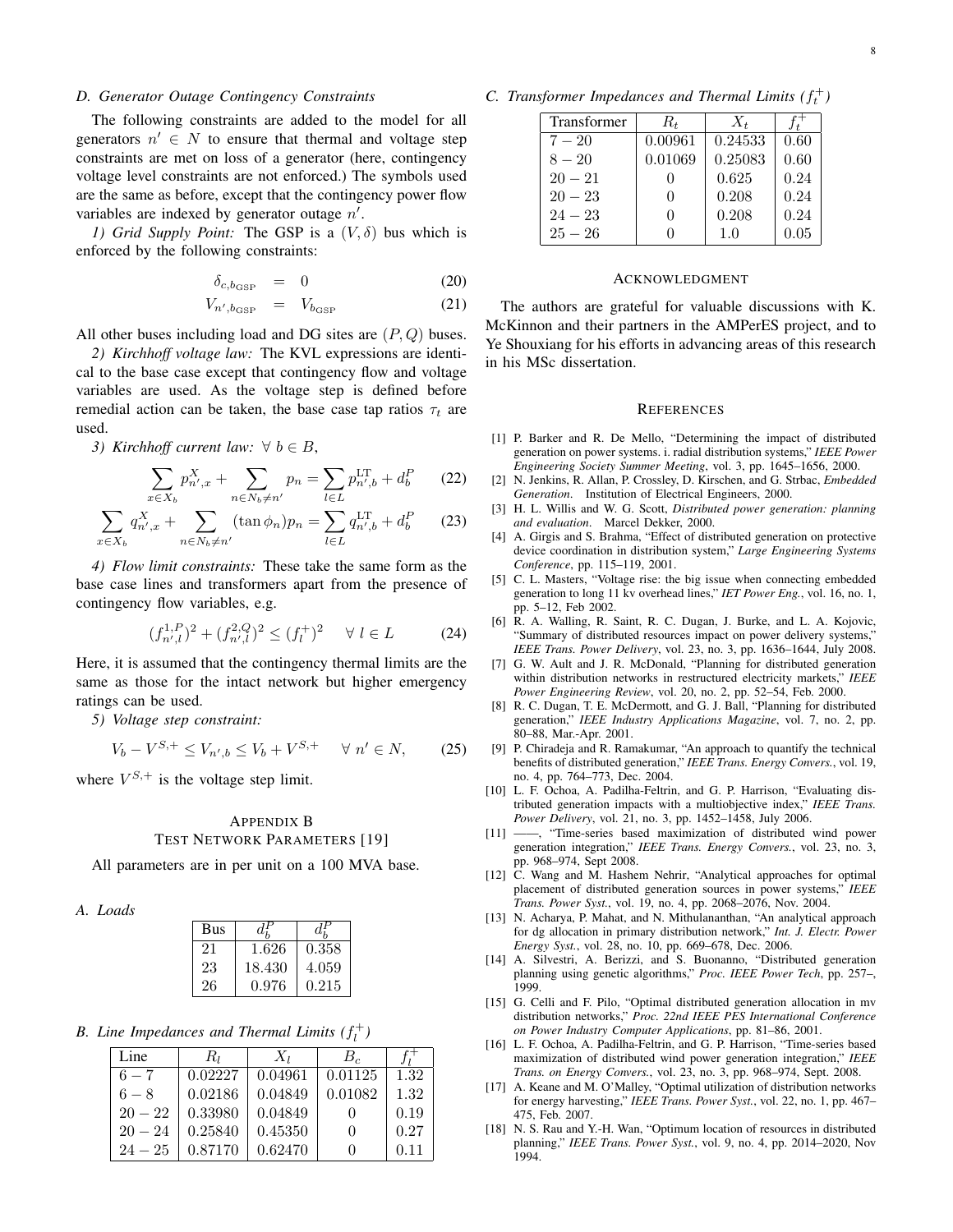The following constraints are added to the model for all generators  $n' \in N$  to ensure that thermal and voltage step constraints are met on loss of a generator (here, contingency voltage level constraints are not enforced.) The symbols used are the same as before, except that the contingency power flow variables are indexed by generator outage  $n'$ .

*1)* Grid Supply Point: The GSP is a  $(V, \delta)$  bus which is enforced by the following constraints:

$$
\delta_{c,b_{\text{GSP}}} = 0 \tag{20}
$$

$$
V_{n',b_{\text{GSP}}} = V_{b_{\text{GSP}}} \tag{21}
$$

All other buses including load and DG sites are  $(P, Q)$  buses.

*2) Kirchhoff voltage law:* The KVL expressions are identical to the base case except that contingency flow and voltage variables are used. As the voltage step is defined before remedial action can be taken, the base case tap ratios  $\tau_t$  are used.

*3) Kirchhoff current law:*  $\forall b \in B$ ,

$$
\sum_{x \in X_b} p_{n',x}^X + \sum_{n \in N_b \neq n'} p_n = \sum_{l \in L} p_{n',b}^{\text{LT}} + d_b^P \qquad (22)
$$

$$
\sum_{x \in X_b} q_{n',x}^X + \sum_{n \in N_b \neq n'} (\tan \phi_n) p_n = \sum_{l \in L} q_{n',b}^{\text{LT}} + d_b^P \qquad (23)
$$

*4) Flow limit constraints:* These take the same form as the base case lines and transformers apart from the presence of contingency flow variables, e.g.

$$
(f_{n',l}^{1,P})^2 + (f_{n',l}^{2,Q})^2 \le (f_l^+)^2 \quad \forall \ l \in L \tag{24}
$$

Here, it is assumed that the contingency thermal limits are the same as those for the intact network but higher emergency ratings can be used.

*5) Voltage step constraint:*

$$
V_b - V^{S,+} \le V_{n',b} \le V_b + V^{S,+} \quad \forall n' \in N,
$$
 (25)

where  $V^{S,+}$  is the voltage step limit.

#### APPENDIX B TEST NETWORK PARAMETERS [19]

All parameters are in per unit on a 100 MVA base.

*A. Loads*

| Bus |        |       |
|-----|--------|-------|
| 21  | 1.626  | 0.358 |
| 23  | 18.430 | 4.059 |
| 26  | 0.976  | 0.215 |

*B. Line Impedances and Thermal Limits*  $(f_l^+)$ 

| Line      | Rı      | $X_I$   | B <sub>e</sub> |      |
|-----------|---------|---------|----------------|------|
| $6 - 7$   | 0.02227 | 0.04961 | 0.01125        | 1.32 |
| $6 - 8$   | 0.02186 | 0.04849 | 0.01082        | 1.32 |
| $20 - 22$ | 0.33980 | 0.04849 |                | 0.19 |
| $20 - 24$ | 0.25840 | 0.45350 | $\cup$         | 0.27 |
| $24 - 25$ | 0.87170 | 0.62470 | 0              | 0.11 |

| Transformer | $R_t$   | $X_t$   |      |
|-------------|---------|---------|------|
| $7 - 20$    | 0.00961 | 0.24533 | 0.60 |
| $8 - 20$    | 0.01069 | 0.25083 | 0.60 |
| $20 - 21$   |         | 0.625   | 0.24 |
| $20 - 23$   |         | 0.208   | 0.24 |
| $24 - 23$   |         | 0.208   | 0.24 |
| $25 - 26$   |         | 1.0     | 0.05 |

#### ACKNOWLEDGMENT

The authors are grateful for valuable discussions with K. McKinnon and their partners in the AMPerES project, and to Ye Shouxiang for his efforts in advancing areas of this research in his MSc dissertation.

#### **REFERENCES**

- [1] P. Barker and R. De Mello, "Determining the impact of distributed generation on power systems. i. radial distribution systems," *IEEE Power Engineering Society Summer Meeting*, vol. 3, pp. 1645–1656, 2000.
- [2] N. Jenkins, R. Allan, P. Crossley, D. Kirschen, and G. Strbac, *Embedded Generation*. Institution of Electrical Engineers, 2000.
- [3] H. L. Willis and W. G. Scott, *Distributed power generation: planning and evaluation*. Marcel Dekker, 2000.
- [4] A. Girgis and S. Brahma, "Effect of distributed generation on protective device coordination in distribution system," *Large Engineering Systems Conference*, pp. 115–119, 2001.
- [5] C. L. Masters, "Voltage rise: the big issue when connecting embedded generation to long 11 kv overhead lines," *IET Power Eng.*, vol. 16, no. 1, pp. 5–12, Feb 2002.
- [6] R. A. Walling, R. Saint, R. C. Dugan, J. Burke, and L. A. Kojovic, "Summary of distributed resources impact on power delivery systems," *IEEE Trans. Power Delivery*, vol. 23, no. 3, pp. 1636–1644, July 2008.
- [7] G. W. Ault and J. R. McDonald, "Planning for distributed generation within distribution networks in restructured electricity markets," *IEEE Power Engineering Review*, vol. 20, no. 2, pp. 52–54, Feb. 2000.
- [8] R. C. Dugan, T. E. McDermott, and G. J. Ball, "Planning for distributed generation," *IEEE Industry Applications Magazine*, vol. 7, no. 2, pp. 80–88, Mar.-Apr. 2001.
- [9] P. Chiradeja and R. Ramakumar, "An approach to quantify the technical benefits of distributed generation," *IEEE Trans. Energy Convers.*, vol. 19, no. 4, pp. 764–773, Dec. 2004.
- [10] L. F. Ochoa, A. Padilha-Feltrin, and G. P. Harrison, "Evaluating distributed generation impacts with a multiobjective index," *IEEE Trans. Power Delivery*, vol. 21, no. 3, pp. 1452–1458, July 2006.
- [11] ——, "Time-series based maximization of distributed wind power generation integration," *IEEE Trans. Energy Convers.*, vol. 23, no. 3, pp. 968–974, Sept 2008.
- [12] C. Wang and M. Hashem Nehrir, "Analytical approaches for optimal placement of distributed generation sources in power systems," *IEEE Trans. Power Syst.*, vol. 19, no. 4, pp. 2068–2076, Nov. 2004.
- [13] N. Acharya, P. Mahat, and N. Mithulananthan, "An analytical approach for dg allocation in primary distribution network," *Int. J. Electr. Power Energy Syst.*, vol. 28, no. 10, pp. 669–678, Dec. 2006.
- [14] A. Silvestri, A. Berizzi, and S. Buonanno, "Distributed generation planning using genetic algorithms," *Proc. IEEE Power Tech*, pp. 257–, 1999.
- [15] G. Celli and F. Pilo, "Optimal distributed generation allocation in mv distribution networks," *Proc. 22nd IEEE PES International Conference on Power Industry Computer Applications*, pp. 81–86, 2001.
- [16] L. F. Ochoa, A. Padilha-Feltrin, and G. P. Harrison, "Time-series based maximization of distributed wind power generation integration," *IEEE Trans. on Energy Convers.*, vol. 23, no. 3, pp. 968–974, Sept. 2008.
- [17] A. Keane and M. O'Malley, "Optimal utilization of distribution networks for energy harvesting," *IEEE Trans. Power Syst.*, vol. 22, no. 1, pp. 467– 475, Feb. 2007.
- [18] N. S. Rau and Y.-H. Wan, "Optimum location of resources in distributed planning," *IEEE Trans. Power Syst.*, vol. 9, no. 4, pp. 2014–2020, Nov 1994.